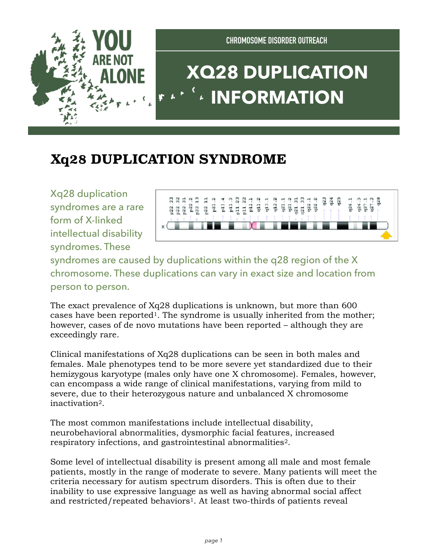

## **Xq28 DUPLICATION SYNDROME**

Xq28 duplication syndromes are a rare form of X-linked intellectual disability syndromes. These



syndromes are caused by duplications within the q28 region of the X chromosome. These duplications can vary in exact size and location from person to person.

The exact prevalence of Xq28 duplications is unknown, but more than 600 cases have been reported1. The syndrome is usually inherited from the mother; however, cases of de novo mutations have been reported – although they are exceedingly rare.

Clinical manifestations of Xq28 duplications can be seen in both males and females. Male phenotypes tend to be more severe yet standardized due to their hemizygous karyotype (males only have one X chromosome). Females, however, can encompass a wide range of clinical manifestations, varying from mild to severe, due to their heterozygous nature and unbalanced X chromosome inactivation2.

The most common manifestations include intellectual disability, neurobehavioral abnormalities, dysmorphic facial features, increased respiratory infections, and gastrointestinal abnormalities2.

Some level of intellectual disability is present among all male and most female patients, mostly in the range of moderate to severe. Many patients will meet the criteria necessary for autism spectrum disorders. This is often due to their inability to use expressive language as well as having abnormal social affect and restricted/repeated behaviors<sup>1</sup>. At least two-thirds of patients reveal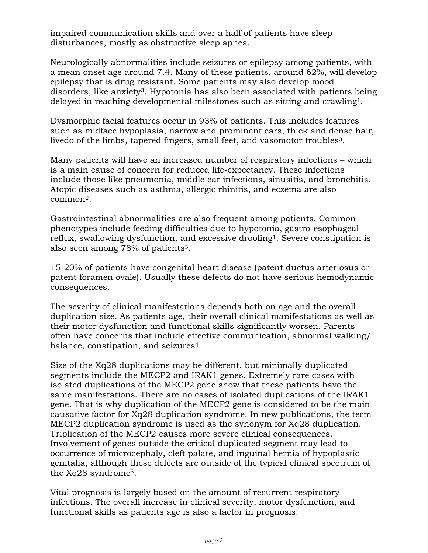impaired communication skills and over a half of patients have sleep disturbances, mostly as obstructive sleep apnea.

Neurologically abnormalities include seizures or epilepsy among patients, with a mean onset age around 7.4. Many of these patients, around 62%, will develop epilepsy that is drug resistant. Some patients may also develop mood disorders, like anxiety3. Hypotonia has also been associated with patients being delayed in reaching developmental milestones such as sitting and crawling1.

Dysmorphic facial features occur in 93% of patients. This includes features such as midface hypoplasia, narrow and prominent ears, thick and dense hair, livedo of the limbs, tapered fingers, small feet, and vasomotor troubles<sup>3</sup>.

Many patients will have an increased number of respiratory infections – which is a main cause of concern for reduced life-expectancy. These infections include those like pneumonia, middle ear infections, sinusitis, and bronchitis. Atopic diseases such as asthma, allergic rhinitis, and eczema are also common2.

Gastrointestinal abnormalities are also frequent among patients. Common phenotypes include feeding difficulties due to hypotonia, gastro-esophageal reflux, swallowing dysfunction, and excessive drooling<sup>1</sup>. Severe constipation is also seen among 78% of patients3.

15-20% of patients have congenital heart disease (patent ductus arteriosus or patent foramen ovale). Usually these defects do not have serious hemodynamic consequences.

The severity of clinical manifestations depends both on age and the overall duplication size. As patients age, their overall clinical manifestations as well as their motor dysfunction and functional skills significantly worsen. Parents often have concerns that include effective communication, abnormal walking/ balance, constipation, and seizures4.

Size of the Xq28 duplications may be different, but minimally duplicated segments include the MECP2 and IRAK1 genes. Extremely rare cases with isolated duplications of the MECP2 gene show that these patients have the same manifestations. There are no cases of isolated duplications of the IRAK1 gene. That is why duplication of the MECP2 gene is considered to be the main causative factor for Xq28 duplication syndrome. In new publications, the term MECP2 duplication syndrome is used as the synonym for Xq28 duplication. Triplication of the MECP2 causes more severe clinical consequences. Involvement of genes outside the critical duplicated segment may lead to occurrence of microcephaly, cleft palate, and inguinal hernia of hypoplastic genitalia, although these defects are outside of the typical clinical spectrum of the Xq28 syndrome5.

Vital prognosis is largely based on the amount of recurrent respiratory infections. The overall increase in clinical severity, motor dysfunction, and functional skills as patients age is also a factor in prognosis.